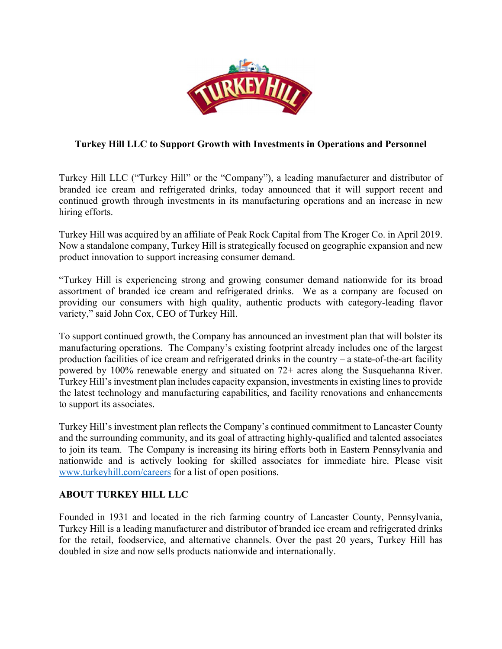

## **Turkey Hill LLC to Support Growth with Investments in Operations and Personnel**

Turkey Hill LLC ("Turkey Hill" or the "Company"), a leading manufacturer and distributor of branded ice cream and refrigerated drinks, today announced that it will support recent and continued growth through investments in its manufacturing operations and an increase in new hiring efforts.

Turkey Hill was acquired by an affiliate of Peak Rock Capital from The Kroger Co. in April 2019. Now a standalone company, Turkey Hill is strategically focused on geographic expansion and new product innovation to support increasing consumer demand.

"Turkey Hill is experiencing strong and growing consumer demand nationwide for its broad assortment of branded ice cream and refrigerated drinks. We as a company are focused on providing our consumers with high quality, authentic products with category-leading flavor variety," said John Cox, CEO of Turkey Hill.

To support continued growth, the Company has announced an investment plan that will bolster its manufacturing operations. The Company's existing footprint already includes one of the largest production facilities of ice cream and refrigerated drinks in the country – a state-of-the-art facility powered by 100% renewable energy and situated on 72+ acres along the Susquehanna River. Turkey Hill's investment plan includes capacity expansion, investments in existing lines to provide the latest technology and manufacturing capabilities, and facility renovations and enhancements to support its associates.

Turkey Hill's investment plan reflects the Company's continued commitment to Lancaster County and the surrounding community, and its goal of attracting highly-qualified and talented associates to join its team. The Company is increasing its hiring efforts both in Eastern Pennsylvania and nationwide and is actively looking for skilled associates for immediate hire. Please visit www.turkeyhill.com/careers for a list of open positions.

## **ABOUT TURKEY HILL LLC**

Founded in 1931 and located in the rich farming country of Lancaster County, Pennsylvania, Turkey Hill is a leading manufacturer and distributor of branded ice cream and refrigerated drinks for the retail, foodservice, and alternative channels. Over the past 20 years, Turkey Hill has doubled in size and now sells products nationwide and internationally.